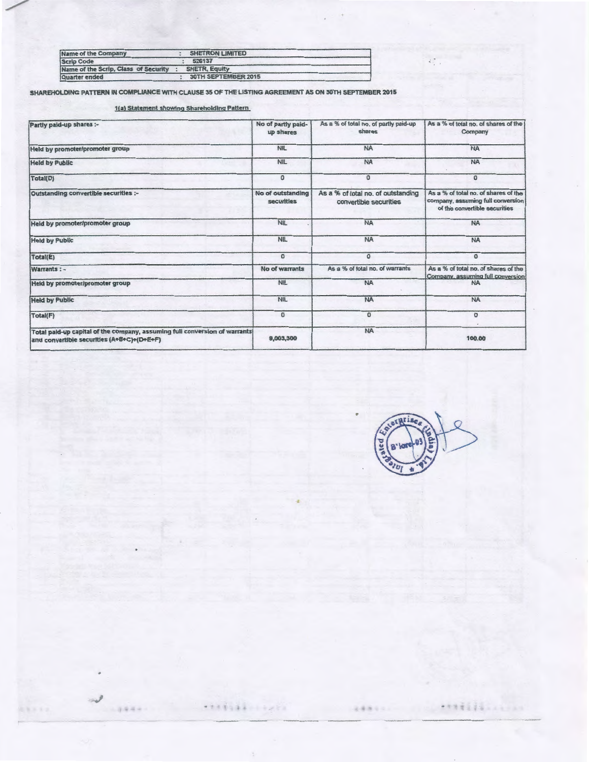| Name of the Company                  | <b>SHETRON LIMITED</b> |
|--------------------------------------|------------------------|
| <b>Scrip Code</b>                    | 526137                 |
| Name of the Scrip, Class of Security | <b>SHETR, Equity</b>   |
| Quarter ended                        | 30TH SEPTEMBER 2015    |

SHAREHOLDING PATTERN IN COMPLIANCE WITH CLAUSE 35 OF THE LISTING AGREEMENT AS ON 30TH SEPTEMBER 2015

1(a) Statement showing Shareholding Pattern

| Partly paid-up shares :-                                                                                                 | No of partly paid-<br>up shares | As a % of total no. of partly paid-up<br>shares              | As a % of total no. of shares of the<br>Company                                                            |
|--------------------------------------------------------------------------------------------------------------------------|---------------------------------|--------------------------------------------------------------|------------------------------------------------------------------------------------------------------------|
| Held by promoter/promoter group                                                                                          | <b>NIL</b>                      | <b>NA</b>                                                    | <b>NA</b>                                                                                                  |
| <b>Held by Public</b>                                                                                                    | <b>NIL</b>                      | <b>NA</b>                                                    | <b>NA</b>                                                                                                  |
| Total(D)                                                                                                                 | $\Omega$                        | 0                                                            | $\Omega$                                                                                                   |
| Outstanding convertible securities :-                                                                                    | No of outstanding<br>securities | As a % of total no. of outstanding<br>convertible securities | As a % of total no, of shares of the<br>company, assuming full conversion<br>of the convertible securities |
| Held by promoter/promoter group                                                                                          | <b>NIL</b>                      | <b>NA</b>                                                    | <b>NA</b>                                                                                                  |
| <b>Held by Public</b>                                                                                                    | <b>NIL</b>                      | <b>NA</b>                                                    | <b>NA</b>                                                                                                  |
| Total(E)                                                                                                                 | $\Omega$                        | $\mathbf{O}$                                                 | $\Omega$                                                                                                   |
| Warrants: -                                                                                                              | No of warrants                  | As a % of total no, of warrants                              | As a % of total no, of shares of the<br>Company, assuming full conversion                                  |
| Held by promoter/promoter group                                                                                          | NIL                             | <b>NA</b>                                                    | <b>NA</b>                                                                                                  |
| <b>Held by Public</b>                                                                                                    | <b>NIL</b>                      | <b>NA</b>                                                    | <b>NA</b>                                                                                                  |
| Total(F)                                                                                                                 | $\sigma$                        | $\Omega$                                                     | ٥                                                                                                          |
| Total paid-up capital of the company, assuming full conversion of warrants<br>and convertible securities (A+B+C)+(D+E+F) | 9,003,300                       | <b>NA</b>                                                    | 100,00                                                                                                     |

•

' .

 $9844$ 

 $288822$ 

※※第1933 11

**\*\*\*\*\*\*\*\*\*\*\*\*\*\*** 

 $\lambda_{\perp}^{(0)}$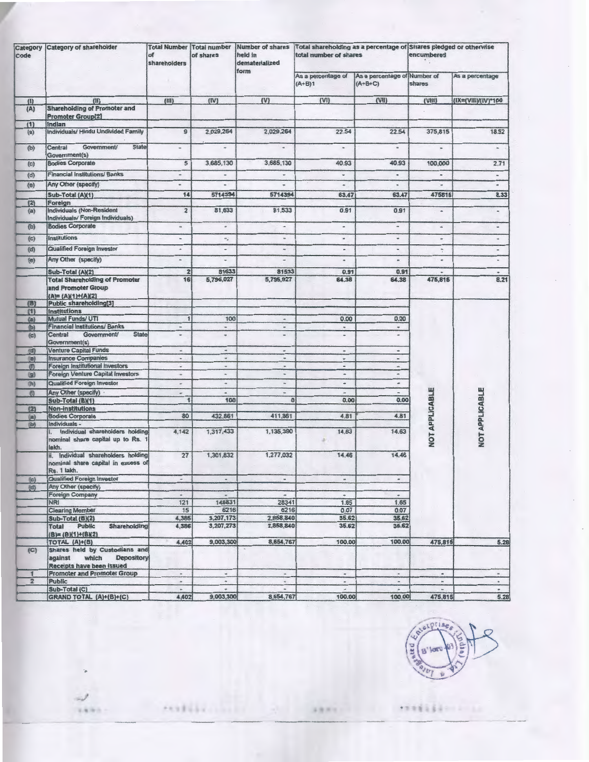| Category<br>Code | <b>Category of shareholder</b>                                                                      | <b>Total Number Total number</b><br>of<br>shareholders | of shares                    | <b>Number of shares</b><br>held in<br>dematerialized | Total shareholding as a percentage of Shares pledged or otherwise<br>total number of shares |                          | encumbered                     |                                           |        |                 |
|------------------|-----------------------------------------------------------------------------------------------------|--------------------------------------------------------|------------------------------|------------------------------------------------------|---------------------------------------------------------------------------------------------|--------------------------|--------------------------------|-------------------------------------------|--------|-----------------|
|                  |                                                                                                     |                                                        |                              |                                                      |                                                                                             | form                     | As a percentage of<br>$(A+B)1$ | As a percentage of Number of<br>$(A+B+C)$ | shares | As a percentage |
| (1)              | (1)                                                                                                 | (III)                                                  | (IV)                         | (V)                                                  | (VI)                                                                                        | (VII)                    | $\{VIII\}$                     | (IX=(VIII)/(IV)*100                       |        |                 |
| (A)              | <b>Shareholding of Promoter and</b><br><b>Promoter Group[2]</b>                                     |                                                        |                              |                                                      |                                                                                             |                          |                                |                                           |        |                 |
| (1)              | Indian                                                                                              |                                                        |                              |                                                      |                                                                                             |                          |                                |                                           |        |                 |
| (a)              | Individuals/ Hindu Undivided Family                                                                 | $\mathbf{9}$                                           | 2,029,264                    | 2,029,264                                            | 22.54                                                                                       | 22.54                    | 375,815                        | 18.52                                     |        |                 |
| (b)              | Government/<br><b>State</b><br>Central<br>Government(s)                                             |                                                        | $\frac{1}{2}$                | $\blacksquare$                                       | $\approx$                                                                                   | $\hbox{ }$               | $\overline{a}$                 | $\sim$                                    |        |                 |
| (c)              | <b>Bodies Corporate</b>                                                                             | 5                                                      | 3,685,130                    | 3,685,130                                            | 40.93                                                                                       | 40.93                    | 100,000                        | 2.71                                      |        |                 |
| (d)              | <b>Financial Institutions/ Banks</b>                                                                | $\overline{\phantom{a}}$                               | ٠                            | w                                                    | $\scriptstyle\rm w$                                                                         | $\boldsymbol{\pi}$       | $\alpha$                       | $\blacksquare$                            |        |                 |
| (e)              | Any Other (specify)                                                                                 | ٠                                                      | $\sim$                       | $\rightarrow$                                        | ۰                                                                                           |                          | a.                             | $\scriptstyle\rm m$                       |        |                 |
|                  | Sub-Total (A)(1)                                                                                    | 14                                                     | 5714394                      | 5714394                                              | 63.47                                                                                       | 63.47                    | 475815                         | 8.33                                      |        |                 |
| (2)              | Foreign                                                                                             |                                                        |                              |                                                      |                                                                                             |                          |                                |                                           |        |                 |
| (a)              | Individuals (Non-Resident<br>Individuals/ Foreign Individuals)                                      | $\overline{2}$                                         | 81,633                       | 81,533                                               | 0.91                                                                                        | 0.91                     | $\bullet$                      | $\sim$                                    |        |                 |
| (b)              | <b>Bodies Corporate</b>                                                                             | u.                                                     | $\bullet$                    | $\overline{a}$                                       | $\blacksquare$                                                                              | $\tilde{\phantom{a}}$    | $\tilde{\phantom{a}}$          | $\frac{1}{2}$                             |        |                 |
| (c)              | Institutions                                                                                        | $\blacksquare$                                         | $\omega_{\rm eff}$           | $\blacksquare$                                       | $\blacksquare$                                                                              | ٠                        | ٠                              | ٠                                         |        |                 |
| (d)              | Qualified Foreign Investor                                                                          | $\bullet$                                              | $\qquad \qquad \bullet$      | $\rightarrow$                                        | $\blacksquare$                                                                              | $\blacksquare$           | ÷                              | $\overline{\phantom{a}}$                  |        |                 |
| (e)              | Any Other (specify)                                                                                 | $\blacksquare$                                         | $\overline{\phantom{a}}$     | ٠                                                    | $\tilde{\phantom{a}}$                                                                       | $\bullet$                | $\bullet$                      | $\bullet$                                 |        |                 |
|                  |                                                                                                     |                                                        |                              |                                                      |                                                                                             |                          |                                |                                           |        |                 |
|                  | Sub-Total (A)(2)<br><b>Total Shareholding of Promoter</b>                                           | $\overline{\mathbf{z}}$<br>16                          | 81633<br>5,796,027           | 81533<br>5,795,927                                   | 0.91<br>64.38                                                                               | 0.91<br>64.38            | $\blacksquare$<br>475,815      | ٠<br>8.21                                 |        |                 |
|                  | and Promoter Group<br>$(A) = (A)(1)+(A)(2)$                                                         |                                                        |                              |                                                      |                                                                                             |                          |                                |                                           |        |                 |
| (B)              | <b>Public shareholding[3]</b>                                                                       |                                                        |                              |                                                      |                                                                                             |                          |                                |                                           |        |                 |
| (1)              | Institutions<br>Mutual Funds/ UTI                                                                   | $\mathbf{I}$                                           | 100                          | ×                                                    | 0.00                                                                                        | 0.00                     |                                |                                           |        |                 |
| (a)<br>(b)       | <b>Financial Institutions/ Banks</b>                                                                | $\cdot$                                                | $\omega$                     | $\frac{1}{2}$                                        | $\bullet$                                                                                   | $\bullet$                |                                |                                           |        |                 |
| (c)              | Government/<br><b>State</b><br>Central<br>Government(s)                                             | $\overline{ }$                                         | $\qquad \qquad \blacksquare$ | $\frac{1}{2}$                                        | $\,$                                                                                        | ۰                        |                                |                                           |        |                 |
| (d)              | <b>Venture Capital Funds</b>                                                                        | m.                                                     | $\overline{\phantom{a}}$     | $\overline{a}$                                       | $_{\ast}$                                                                                   | $\bullet$                |                                |                                           |        |                 |
| (n)              | <b>Insurance Companies</b>                                                                          | $\bullet$                                              | $\sigma_{\rm F}$             | $\qquad \qquad \blacksquare$                         | $\mathbf{w}$                                                                                | $\sim$                   |                                |                                           |        |                 |
| $\cup$           | <b>Foreign Institutional Investors</b>                                                              | ÷                                                      | $\approx$                    | $\bullet$                                            | $\frac{1}{2}$                                                                               | $\mathcal{A}$            |                                |                                           |        |                 |
| $\circledcirc$   | <b>Foreign Venture Capital Investors</b>                                                            | ۰                                                      | ٠                            |                                                      | $\bullet$                                                                                   | ÷                        |                                |                                           |        |                 |
| (h)              | Qualified Foreign Investor                                                                          | $\sim$                                                 | $\bullet$                    | $\sim$                                               | $\,$                                                                                        | $\bullet$                |                                |                                           |        |                 |
| (1)              | Any Other (specify)<br>Sub-Total (B)(1)                                                             | ÷<br>1                                                 | $\blacksquare$<br>100        | ٠<br>$\Omega$                                        | $\overline{\phantom{a}}$<br>0.00                                                            | ٠<br>0.00                |                                |                                           |        |                 |
| (2)              | Non-institutions                                                                                    |                                                        |                              |                                                      |                                                                                             |                          |                                |                                           |        |                 |
| (a)              | <b>Bodies Corporate</b>                                                                             | 80                                                     | 432,861                      | 411,861                                              | 4.81                                                                                        | 4.81                     |                                |                                           |        |                 |
| 购                | Individuals -                                                                                       |                                                        |                              |                                                      |                                                                                             |                          |                                |                                           |        |                 |
|                  | Individual shareholders holding<br>nominal share capital up to Rs. 1<br>lakh.                       | 4,142                                                  | 1,317,433                    | 1,135,390                                            | 14.63                                                                                       | 14.63                    | NOT APPLICABLE                 | NOT APPLICABLE                            |        |                 |
|                  | ii. Individual shareholders holding<br>nominal share capital in excess of<br>Rs. 1 lakh.            | 27                                                     | 1,301,832                    | 1,277,032                                            | 14.46                                                                                       | 14.46                    |                                |                                           |        |                 |
| (c)              | <b>Qualified Foreign Investor</b>                                                                   | $\overline{a}$                                         | $\sim$                       | $\overline{\phantom{a}}$                             | $\qquad \qquad \bullet$                                                                     | $\omega$                 |                                |                                           |        |                 |
| 砂                | Any Other (specify)                                                                                 |                                                        |                              |                                                      |                                                                                             |                          |                                |                                           |        |                 |
|                  | <b>Foreign Company</b>                                                                              | $\scriptstyle\rm w$                                    |                              | $\mathcal{M}$                                        | w                                                                                           | $\omega$                 |                                |                                           |        |                 |
|                  | <b>NRI</b><br><b>Clearing Member</b>                                                                | 121<br>15                                              | 148831<br>6216               | 28341<br>6216                                        | 1.65<br>0.07                                                                                | 1.65<br>0.07             |                                |                                           |        |                 |
|                  | Sub-Total (B)(2)                                                                                    | 4,385                                                  | 3,207,173                    | 2,858,840                                            | 35.62                                                                                       | 35.62                    |                                |                                           |        |                 |
|                  | <b>Shareholding</b><br>Total Public<br>$(B) = (B)(1)+(B)(2)$                                        | 4,386                                                  | 3,207,273                    | 2,858,840                                            | 35.62                                                                                       | 35.62                    |                                |                                           |        |                 |
|                  | <b>TOTAL (A)+(B)</b>                                                                                | 4,402                                                  | 9,003,300                    | 8,654,767                                            | 100.00                                                                                      | 100.00                   | 475,815                        | 5,28                                      |        |                 |
| (C)              | Shares held by Custodians and<br>which<br><b>Depository</b><br>against<br>Receipts have been issued |                                                        |                              |                                                      |                                                                                             |                          |                                |                                           |        |                 |
| 1                | <b>Promoter and Promoter Group</b>                                                                  | $\bullet$                                              | $\bullet$                    | $\,$                                                 | $\sim$                                                                                      | $\overline{\phantom{a}}$ | $\bullet$                      | $\equiv$                                  |        |                 |
| $\overline{2}$   | Public                                                                                              | $\approx$                                              | $\alpha$                     | $\rightarrow$                                        | $\sim$                                                                                      | $\sim$                   | $\omega$                       | $\bullet$                                 |        |                 |
|                  | Sub-Total (C)<br>GRAND TOTAL (A)+(B)+(C)                                                            | $\omega$<br>4,402                                      | ÷<br>9,003,300               | $\omega_{\rm r}$<br>8,654,767                        | $\sim$<br>100.00                                                                            | $\frac{1}{2}$<br>100.00  | $\sim$<br>475,815              | 5.28                                      |        |                 |

**FANKLIN** 

**VAND** 



1999111-1-12

 $19.51$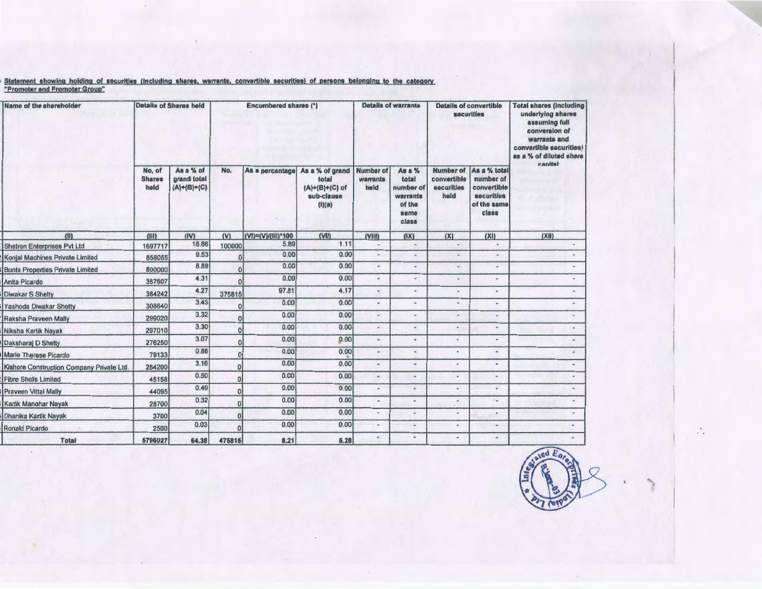<u>. Statement showing holding of securities (including shares, warrants, convertible securities) of persons belonging to the category</u> "Promoter and Promoter Group"

| Name of the shareholder                   |                                 | <b>Details of Shares held</b>             | Encumbered shares (*) |                    |                                                                    | <b>Details of warrants</b>           |                                                                     | <b>Details of convertible</b><br>securities    |                                                                                       | <b>Total shares (including</b><br>underlying shares<br>assuming full<br>conversion of<br>warrants and<br>convertible securities)<br>as a % of diluted share |
|-------------------------------------------|---------------------------------|-------------------------------------------|-----------------------|--------------------|--------------------------------------------------------------------|--------------------------------------|---------------------------------------------------------------------|------------------------------------------------|---------------------------------------------------------------------------------------|-------------------------------------------------------------------------------------------------------------------------------------------------------------|
|                                           | No, of<br><b>Shares</b><br>held | As a % of<br>grand total<br>$(A)+(B)+(C)$ | No.                   | As a percentage    | As a % of grand<br>total<br>(A)+(B)+(C) of<br>sub-clause<br>(1)(a) | <b>Number of</b><br>warrants<br>held | As a %<br>total<br>number of<br>warrants<br>of the<br>same<br>class | Number of<br>convertible<br>securities<br>held | As a % total<br>number of<br>convertible<br><b>securities</b><br>of the same<br>class | canital                                                                                                                                                     |
| (11)                                      | (iii)                           | (IV)                                      | (V)                   | (VI)=(V)/(III)*100 | (VII)                                                              | (VIII)                               | (IX)                                                                | (X)                                            | (XI)                                                                                  | (X t)                                                                                                                                                       |
| <b>Shetron Enterprises Pvt Ltd</b>        | 1697717                         | 18.86                                     | 100000                | 5.89               | 1.11                                                               | $_{\rm{m}}$                          |                                                                     | $\ddot{\phantom{1}}$                           | $\omega$                                                                              |                                                                                                                                                             |
| Konjal Machines Private Limited           | 858055                          | 9.53                                      | 0                     | 0.00               | 0.00                                                               | $\alpha$                             | $\dot{w}$                                                           | $\alpha$                                       | $\blacksquare$                                                                        |                                                                                                                                                             |
| <b>Bunts Properties Private Limited</b>   | 800000                          | 8.89                                      | $\overline{0}$        | 0.00               | 0.00                                                               | $\alpha$                             | $\mu_F$                                                             | $\omega$                                       | w.                                                                                    |                                                                                                                                                             |
| Anita Picardo                             | 387607                          | 4.31                                      | $\Omega$              | 0.00               | 0.00                                                               | $\alpha$                             | $\overline{a}$                                                      | ä                                              | $\frac{1}{2}$                                                                         |                                                                                                                                                             |
| Diwakar S.Shetty                          | 384242                          | 4.27                                      | 375815                | 97.81              | 4.17                                                               | $\mathbf{m}$                         | ŵ.                                                                  | ٠                                              | ۰                                                                                     |                                                                                                                                                             |
| Yashoda Diwakar Shetty                    | 308640                          | 3.43                                      | Ű                     | 0.00               | 0.00                                                               | $\omega$                             | ٠                                                                   | $\mathbf{m}$                                   | $\frac{1}{2}$                                                                         |                                                                                                                                                             |
| Raksha Praveen Mally                      | 299020                          | 3.32                                      | $\bf{0}$              | 0.00               | 0.00                                                               | $^{46}$                              |                                                                     | in.                                            | $\overline{a}$                                                                        |                                                                                                                                                             |
| Niksha Kartik Nayak                       | 297010                          | 3.30                                      | $\bf{0}$              | 0.00               | 0.00                                                               | $_{\rm int}$                         | 'n                                                                  | H.                                             | $\sim$                                                                                |                                                                                                                                                             |
| Daksharaj D Shetty                        | 276250                          | 3.07                                      | $\bf{0}$              | 0.00               | 0.00                                                               | $\alpha$                             | ٠                                                                   | $_{\rm H}$                                     | $\omega$                                                                              |                                                                                                                                                             |
| Marie Therese Picardo                     | 79133                           | 0.88                                      | $\bf{0}$              | 0.00               | 0.00                                                               | w.                                   | is.                                                                 | $\blacksquare$                                 | ٠                                                                                     |                                                                                                                                                             |
| Kishore Construction Company Private Ltd. | 284200                          | 3.16                                      | 0                     | 0.00               | 0.00                                                               | $\#$                                 | $\blacksquare$                                                      | $\scriptstyle\prime\prime$                     | $\omega$                                                                              |                                                                                                                                                             |
| <b>Fibre Shells Limited</b>               | 45158                           | 0.50                                      | $\bf{0}$              | 0.00               | 0.00                                                               | $\overline{\phantom{a}}$             | Ab                                                                  | $\blacksquare$                                 | $\sim$                                                                                |                                                                                                                                                             |
| <b>Praveen Vittal Mally</b>               | 44095                           | 0.49                                      | $\overline{0}$        | 0.00               | 0.00                                                               | $\mu$                                | h.                                                                  | w.                                             | $\omega$                                                                              |                                                                                                                                                             |
| Kartik Manohar Nayak                      | 28700                           | 0.32                                      | $\mathbf{0}$          | 0.00               | 0.00                                                               | $\scriptstyle\rm m$                  | ÷                                                                   | $\overline{\phantom{a}}$                       | ۰.                                                                                    |                                                                                                                                                             |
|                                           | 3700                            | 0.04                                      | $\bf{0}$              | 0.00               | 0.00                                                               | $\bullet$                            | in.                                                                 | ٠                                              | $\sim$                                                                                |                                                                                                                                                             |
| Dhanika Kartik Nayak<br>Ronald Picardo    | 2500                            | 0.03                                      | O                     | 0.00               | 0.00                                                               | $\sim$                               | $\blacksquare$                                                      | u.                                             | $\rightarrow$                                                                         |                                                                                                                                                             |
| Total                                     | 5796027                         | 64.38                                     | 475815                | 8.21               | 5.28                                                               | $\blacksquare$                       |                                                                     | $\bullet$                                      | $\overline{\phantom{a}}$                                                              |                                                                                                                                                             |



A.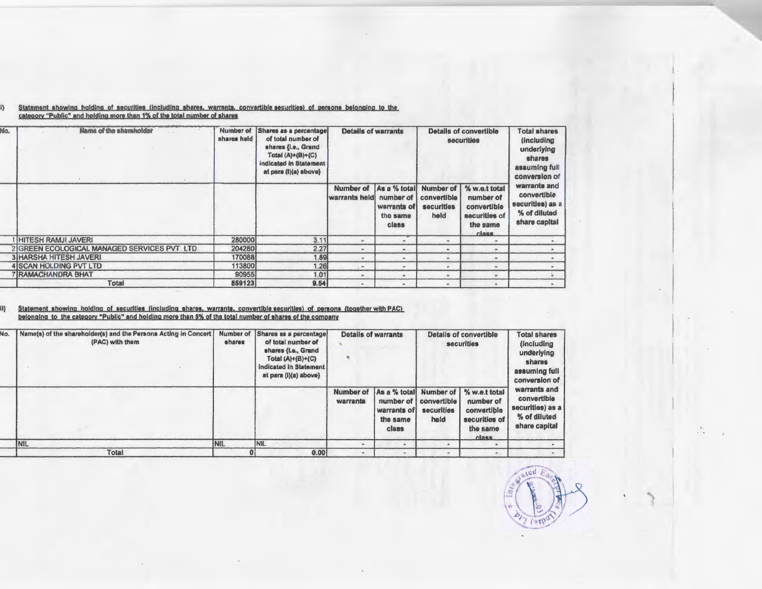| No. | <b>Name of the Elianoro field</b>              | Number of Shares as a percentage<br>shares held |      |                            | <b>Details of warrants</b>                                    |                                                       | <b>Details of convertible</b><br><b>securities</b>                               | <b>Total shares</b><br><i>(including)</i><br>underlying<br>shares<br>assuming full<br>conversion of |
|-----|------------------------------------------------|-------------------------------------------------|------|----------------------------|---------------------------------------------------------------|-------------------------------------------------------|----------------------------------------------------------------------------------|-----------------------------------------------------------------------------------------------------|
|     |                                                |                                                 |      | Number of<br>warrants held | As a % total<br>number of<br>warrants of<br>the same<br>class | <b>Number of</b><br>convertible<br>securities<br>held | % w.e.t total<br>number of<br>convertible<br>securities of<br>the same<br>class. | warrants and<br>convertible<br>securities) as a<br>% of diluted<br>share capital                    |
|     | <b>I HITESH RAMJI JAVERI</b>                   | 280000                                          | 3.11 |                            |                                                               |                                                       |                                                                                  |                                                                                                     |
|     | 2 IGREEN ECOLOGICAL MANAGED SERVICES PVT. LTD. | 204280                                          | 2.27 |                            |                                                               |                                                       |                                                                                  |                                                                                                     |
|     | <b>3 HARSHA HITESH JAVERI</b>                  | 170088                                          | 1.89 |                            | me.                                                           |                                                       |                                                                                  |                                                                                                     |
|     | <b>4 SCAN HOLDING PVT LTD</b>                  | 113800                                          | 1.26 | $\rightarrow$              | m.                                                            |                                                       |                                                                                  |                                                                                                     |
|     | 7 RAMACHANDRA BHAT                             | 90955                                           | 1.01 |                            | ÷                                                             |                                                       |                                                                                  |                                                                                                     |
|     | Total                                          | 859123                                          | 9.54 | $\sim$                     | <b>SHO</b>                                                    |                                                       |                                                                                  |                                                                                                     |

## i) Statement showing holding of securities (including shares, warrants, convertible securities) of persons belonging to the category "Public" and holding more than 1% of the total number of shares

# ii) Statement showing holding of securities (including shares, warrants, convertible securities) of persons (together with PAC)<br>belonging to the category "Public" and holding more than 5% of the total number of shares of t

| Ŵо. | Name(s) of the shareholder(s) and the Persons Acting in Concert<br>(PAC) with them | shares     | Number of Shares as a percentage<br>of total number of<br>shares (i.e., Grand<br>Total $(A)+(B)+(C)$<br>indicated in Statement<br>at para (i)(a) above) |                       | <b>Details of warrants</b><br>Details of convertible<br><b>Total shares</b><br>(including)<br>securities<br>underlying<br>shares<br>assuming full<br>conversion of |                                                |                                                                                  |                                                                                  |
|-----|------------------------------------------------------------------------------------|------------|---------------------------------------------------------------------------------------------------------------------------------------------------------|-----------------------|--------------------------------------------------------------------------------------------------------------------------------------------------------------------|------------------------------------------------|----------------------------------------------------------------------------------|----------------------------------------------------------------------------------|
|     |                                                                                    |            |                                                                                                                                                         | Number of<br>warrants | As a % total<br>number of I<br>warrants of<br>the same<br>class                                                                                                    | Number of<br>convertible<br>securities<br>held | % w.e.t total<br>number of<br>convertible<br>securities of<br>the same<br>class. | warrants and<br>convertible<br>securities) as a<br>% of diluted<br>share capital |
|     | INIL                                                                               | <b>NIL</b> | NIL                                                                                                                                                     |                       |                                                                                                                                                                    |                                                |                                                                                  |                                                                                  |
|     | Total                                                                              |            | 0.00                                                                                                                                                    |                       |                                                                                                                                                                    |                                                |                                                                                  |                                                                                  |



"')